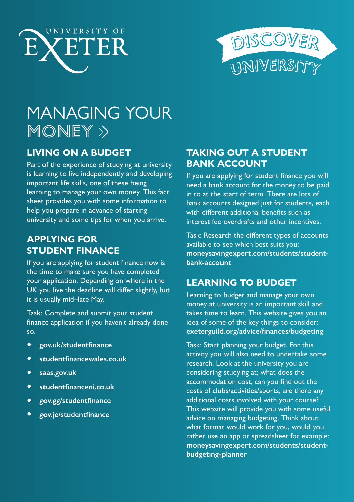



# MANAGING YOUR  $\overline{\mathsf{MONEY}} \gg$

# **LIVING ON A BUDGET**

Part of the experience of studying at university is learning to live independently and developing important life skills, one of these being learning to manage your own money. This fact sheet provides you with some information to help you prepare in advance of starting university and some tips for when you arrive.

### **APPLYING FOR STUDENT FINANCE**

If you are applying for student finance now is the time to make sure you have completed your application. Depending on where in the UK you live the deadline will differ slightly, but it is usually mid–late May.

Task: Complete and submit your student finance application if you haven't already done so.

- **[gov.uk/studentfinance](http://www.gov.uk/studentfinance)**
- **[studentfinancewales.co.uk](http://www.studentfinancewales.co.uk)**
- **[saas.gov.uk](http://www.saas.gov.uk)**
- **[studentfinanceni.co.uk](http://www.studentfinanceni.co.uk)**
- **[gov.gg/studentfinance](http://www.gov.gg/studentfinance)**
- **[gov.je/studentfinance](http://www.gov.je/studentfinance)**

# **TAKING OUT A STUDENT BANK ACCOUNT**

If you are applying for student finance you will need a bank account for the money to be paid in to at the start of term. There are lots of bank accounts designed just for students, each with different additional benefits such as interest fee overdrafts and other incentives.

Task: Research the different types of accounts available to see which best suits you: **[moneysavingexpert.com/students/student](http://www.moneysavingexpert.com/students/student-bank-account)[bank-account](http://www.moneysavingexpert.com/students/student-bank-account)**

## **LEARNING TO BUDGET**

Learning to budget and manage your own money at university is an important skill and takes time to learn. This website gives you an idea of some of the key things to consider: **[exeterguild.org/advice/finances/budgeting](http://www.exeterguild.org/advice/finances/budgeting  )** 

Task: Start planning your budget. For this activity you will also need to undertake some research. Look at the university you are considering studying at; what does the accommodation cost, can you find out the costs of clubs/activities/sports, are there any additional costs involved with your course? This website will provide you with some useful advice on managing budgeting. Think about what format would work for you, would you rather use an app or spreadsheet for example: **[moneysavingexpert.com/students/student](http://www.moneysavingexpert.com/students/student-budgeting-planner)[budgeting-planner](http://www.moneysavingexpert.com/students/student-budgeting-planner)**